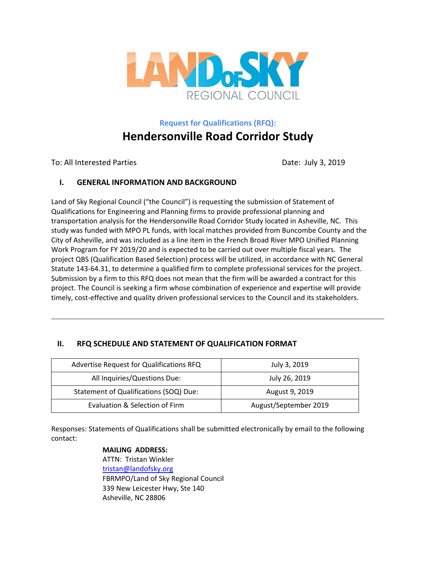

# **Request for Qualifications (RFQ): Hendersonville Road Corridor Study**

To: All Interested Parties **Date: July 3, 2019** 

# **I. GENERAL INFORMATION AND BACKGROUND**

Land of Sky Regional Council ("the Council") is requesting the submission of Statement of Qualifications for Engineering and Planning firms to provide professional planning and transportation analysis for the Hendersonville Road Corridor Study located in Asheville, NC. This study was funded with MPO PL funds, with local matches provided from Buncombe County and the City of Asheville, and was included as a line item in the French Broad River MPO Unified Planning Work Program for FY 2019/20 and is expected to be carried out over multiple fiscal years. The project QBS (Qualification Based Selection) process will be utilized, in accordance with NC General Statute 143‐64.31, to determine a qualified firm to complete professional services for the project. Submission by a firm to this RFQ does not mean that the firm will be awarded a contract for this project. The Council is seeking a firm whose combination of experience and expertise will provide timely, cost-effective and quality driven professional services to the Council and its stakeholders.

# **II. RFQ SCHEDULE AND STATEMENT OF QUALIFICATION FORMAT**

| Advertise Request for Qualifications RFQ | July 3, 2019          |
|------------------------------------------|-----------------------|
| All Inquiries/Questions Due:             | July 26, 2019         |
| Statement of Qualifications (SOQ) Due:   | August 9, 2019        |
| Evaluation & Selection of Firm           | August/September 2019 |

Responses: Statements of Qualifications shall be submitted electronically by email to the following contact:

# **MAILING ADDRESS:**

ATTN: Tristan Winkler [tristan@landofsky.org](mailto:tristan@landofsky.org) FBRMPO/Land of Sky Regional Council 339 New Leicester Hwy, Ste 140 Asheville, NC 28806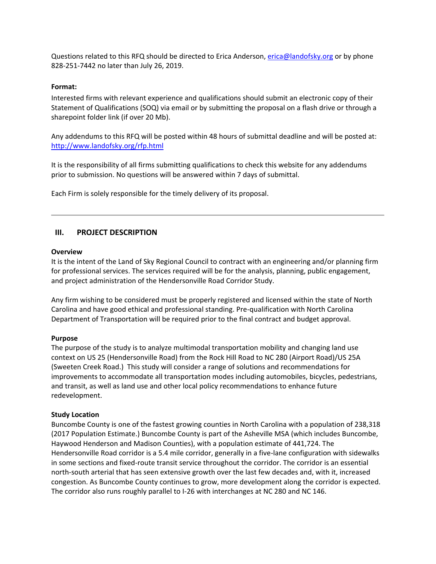Questions related to this RFQ should be directed to Erica Anderson, [erica@landofsky.org](mailto:erica@landofsky.org) or by phone 828-251-7442 no later than July 26, 2019.

## **Format:**

Interested firms with relevant experience and qualifications should submit an electronic copy of their Statement of Qualifications (SOQ) via email or by submitting the proposal on a flash drive or through a sharepoint folder link (if over 20 Mb).

Any addendums to this RFQ will be posted within 48 hours of submittal deadline and will be posted at: <http://www.landofsky.org/rfp.html>

It is the responsibility of all firms submitting qualifications to check this website for any addendums prior to submission. No questions will be answered within 7 days of submittal.

Each Firm is solely responsible for the timely delivery of its proposal.

## **III. PROJECT DESCRIPTION**

#### **Overview**

It is the intent of the Land of Sky Regional Council to contract with an engineering and/or planning firm for professional services. The services required will be for the analysis, planning, public engagement, and project administration of the Hendersonville Road Corridor Study.

Any firm wishing to be considered must be properly registered and licensed within the state of North Carolina and have good ethical and professional standing. Pre-qualification with North Carolina Department of Transportation will be required prior to the final contract and budget approval.

## **Purpose**

The purpose of the study is to analyze multimodal transportation mobility and changing land use context on US 25 (Hendersonville Road) from the Rock Hill Road to NC 280 (Airport Road)/US 25A (Sweeten Creek Road.) This study will consider a range of solutions and recommendations for improvements to accommodate all transportation modes including automobiles, bicycles, pedestrians, and transit, as well as land use and other local policy recommendations to enhance future redevelopment.

## **Study Location**

Buncombe County is one of the fastest growing counties in North Carolina with a population of 238,318 (2017 Population Estimate.) Buncombe County is part of the Asheville MSA (which includes Buncombe, Haywood Henderson and Madison Counties), with a population estimate of 441,724. The Hendersonville Road corridor is a 5.4 mile corridor, generally in a five-lane configuration with sidewalks in some sections and fixed-route transit service throughout the corridor. The corridor is an essential north-south arterial that has seen extensive growth over the last few decades and, with it, increased congestion. As Buncombe County continues to grow, more development along the corridor is expected. The corridor also runs roughly parallel to I-26 with interchanges at NC 280 and NC 146.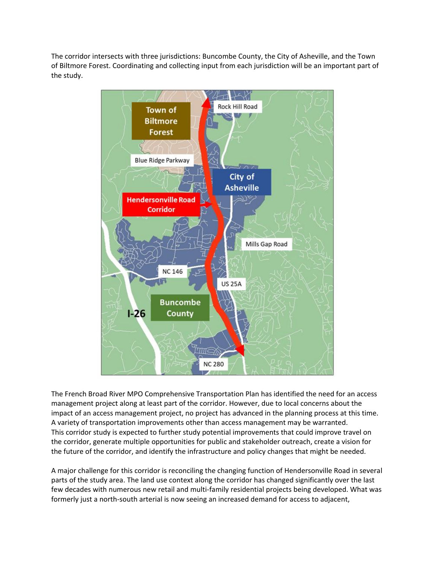The corridor intersects with three jurisdictions: Buncombe County, the City of Asheville, and the Town of Biltmore Forest. Coordinating and collecting input from each jurisdiction will be an important part of the study.



The French Broad River MPO Comprehensive Transportation Plan has identified the need for an access management project along at least part of the corridor. However, due to local concerns about the impact of an access management project, no project has advanced in the planning process at this time. A variety of transportation improvements other than access management may be warranted. This corridor study is expected to further study potential improvements that could improve travel on the corridor, generate multiple opportunities for public and stakeholder outreach, create a vision for the future of the corridor, and identify the infrastructure and policy changes that might be needed.

A major challenge for this corridor is reconciling the changing function of Hendersonville Road in several parts of the study area. The land use context along the corridor has changed significantly over the last few decades with numerous new retail and multi-family residential projects being developed. What was formerly just a north-south arterial is now seeing an increased demand for access to adjacent,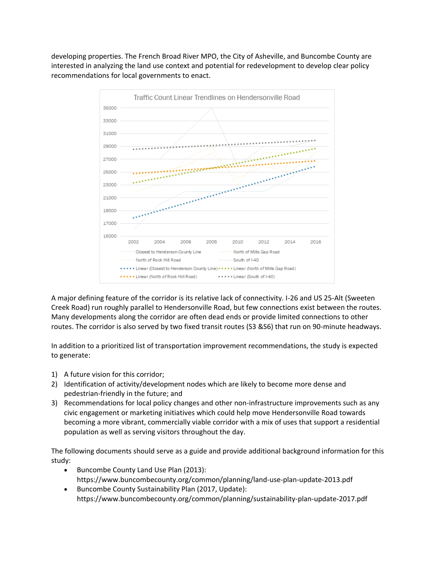developing properties. The French Broad River MPO, the City of Asheville, and Buncombe County are interested in analyzing the land use context and potential for redevelopment to develop clear policy recommendations for local governments to enact.



A major defining feature of the corridor is its relative lack of connectivity. I-26 and US 25-Alt (Sweeten Creek Road) run roughly parallel to Hendersonville Road, but few connections exist between the routes. Many developments along the corridor are often dead ends or provide limited connections to other routes. The corridor is also served by two fixed transit routes (S3 &S6) that run on 90-minute headways.

In addition to a prioritized list of transportation improvement recommendations, the study is expected to generate:

- 1) A future vision for this corridor;
- 2) Identification of activity/development nodes which are likely to become more dense and pedestrian-friendly in the future; and
- 3) Recommendations for local policy changes and other non-infrastructure improvements such as any civic engagement or marketing initiatives which could help move Hendersonville Road towards becoming a more vibrant, commercially viable corridor with a mix of uses that support a residential population as well as serving visitors throughout the day.

The following documents should serve as a guide and provide additional background information for this study:

- Buncombe County Land Use Plan (2013): <https://www.buncombecounty.org/common/planning/land-use-plan-update-2013.pdf>
- Buncombe County Sustainability Plan (2017, Update): <https://www.buncombecounty.org/common/planning/sustainability-plan-update-2017.pdf>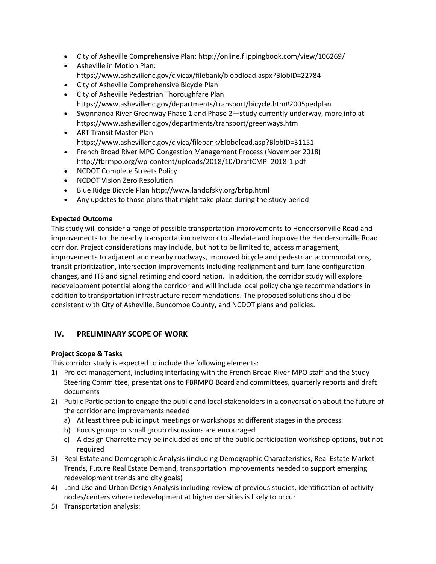- City of Asheville Comprehensive Plan: <http://online.flippingbook.com/view/106269/>
- Asheville in Motion Plan: <https://www.ashevillenc.gov/civicax/filebank/blobdload.aspx?BlobID=22784>
- City of Asheville Comprehensive Bicycle Plan
- City of Asheville Pedestrian Thoroughfare Pla[n](https://www.ashevillenc.gov/departments/transport/bicycle.htm#2005pedplan) <https://www.ashevillenc.gov/departments/transport/bicycle.htm#2005pedplan>
- Swannanoa River Greenway Phase 1 and Phase 2—study currently underway, more info a[t](https://www.ashevillenc.gov/departments/transport/greenways.htm) <https://www.ashevillenc.gov/departments/transport/greenways.htm>
- ART Transit Master Plan <https://www.ashevillenc.gov/civica/filebank/blobdload.asp?BlobID=31151>
- French Broad River MPO Congestion Management Process (November 2018[\)](http://fbrmpo.org/wp-content/uploads/2018/10/DraftCMP_2018-1.pdf) [http://fbrmpo.org/wp-content/uploads/2018/10/DraftCMP\\_2018-1.pdf](http://fbrmpo.org/wp-content/uploads/2018/10/DraftCMP_2018-1.pdf)
- NCDOT Complete Streets Policy
- [NCDOT Vision Zero Resolution](https://connect.ncdot.gov/groups/echs/Documents/2015/Vision%20Zero%20Resolution.pdf)
- Blue Ridge Bicycle Plan <http://www.landofsky.org/brbp.html>
- Any updates to those plans that might take place during the study period

## **Expected Outcome**

This study will consider a range of possible transportation improvements to Hendersonville Road and improvements to the nearby transportation network to alleviate and improve the Hendersonville Road corridor. Project considerations may include, but not to be limited to, access management, improvements to adjacent and nearby roadways, improved bicycle and pedestrian accommodations, transit prioritization, intersection improvements including realignment and turn lane configuration changes, and ITS and signal retiming and coordination. In addition, the corridor study will explore redevelopment potential along the corridor and will include local policy change recommendations in addition to transportation infrastructure recommendations. The proposed solutions should be consistent with City of Asheville, Buncombe County, and NCDOT plans and policies.

## **IV. PRELIMINARY SCOPE OF WORK**

## **Project Scope & Tasks**

This corridor study is expected to include the following elements:

- 1) Project management, including interfacing with the French Broad River MPO staff and the Study Steering Committee, presentations to FBRMPO Board and committees, quarterly reports and draft documents
- 2) Public Participation to engage the public and local stakeholders in a conversation about the future of the corridor and improvements needed
	- a) At least three public input meetings or workshops at different stages in the process
	- b) Focus groups or small group discussions are encouraged
	- c) A design Charrette may be included as one of the public participation workshop options, but not required
- 3) Real Estate and Demographic Analysis (including Demographic Characteristics, Real Estate Market Trends, Future Real Estate Demand, transportation improvements needed to support emerging redevelopment trends and city goals)
- 4) Land Use and Urban Design Analysis including review of previous studies, identification of activity nodes/centers where redevelopment at higher densities is likely to occur
- 5) Transportation analysis: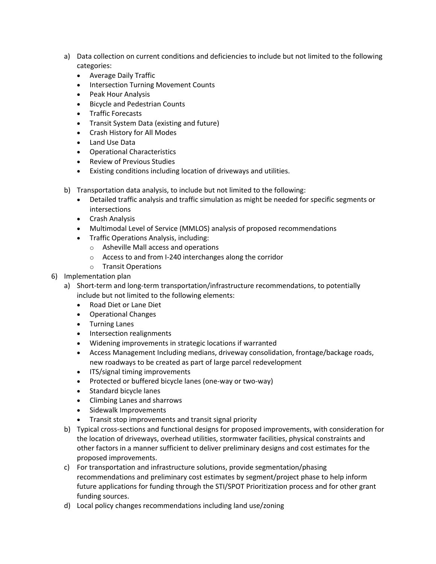- a) Data collection on current conditions and deficiencies to include but not limited to the following categories:
	- Average Daily Traffic
	- Intersection Turning Movement Counts
	- Peak Hour Analysis
	- Bicycle and Pedestrian Counts
	- Traffic Forecasts
	- Transit System Data (existing and future)
	- Crash History for All Modes
	- Land Use Data
	- Operational Characteristics
	- Review of Previous Studies
	- Existing conditions including location of driveways and utilities.
- b) Transportation data analysis, to include but not limited to the following:
	- Detailed traffic analysis and traffic simulation as might be needed for specific segments or intersections
	- Crash Analysis
	- Multimodal Level of Service (MMLOS) analysis of proposed recommendations
	- Traffic Operations Analysis, including:
		- o Asheville Mall access and operations
		- o Access to and from I-240 interchanges along the corridor
		- o Transit Operations
- 6) Implementation plan
	- a) Short-term and long-term transportation/infrastructure recommendations, to potentially include but not limited to the following elements:
		- Road Diet or Lane Diet
		- Operational Changes
		- Turning Lanes
		- Intersection realignments
		- Widening improvements in strategic locations if warranted
		- Access Management Including medians, driveway consolidation, frontage/backage roads, new roadways to be created as part of large parcel redevelopment
		- ITS/signal timing improvements
		- Protected or buffered bicycle lanes (one-way or two-way)
		- Standard bicycle lanes
		- Climbing Lanes and sharrows
		- Sidewalk Improvements
		- Transit stop improvements and transit signal priority
	- b) Typical cross-sections and functional designs for proposed improvements, with consideration for the location of driveways, overhead utilities, stormwater facilities, physical constraints and other factors in a manner sufficient to deliver preliminary designs and cost estimates for the proposed improvements.
	- c) For transportation and infrastructure solutions, provide segmentation/phasing recommendations and preliminary cost estimates by segment/project phase to help inform future applications for funding through the STI/SPOT Prioritization process and for other grant funding sources.
	- d) Local policy changes recommendations including land use/zoning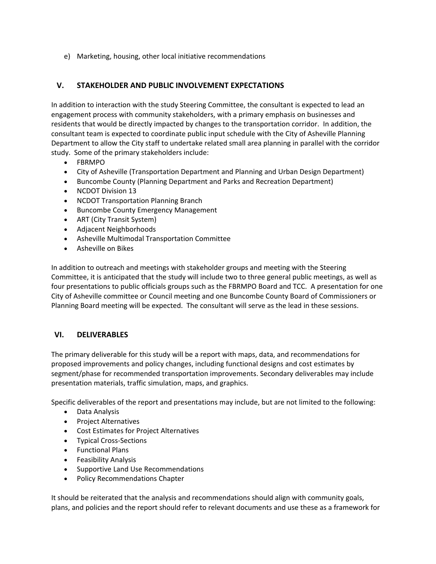e) Marketing, housing, other local initiative recommendations

## **V. STAKEHOLDER AND PUBLIC INVOLVEMENT EXPECTATIONS**

In addition to interaction with the study Steering Committee, the consultant is expected to lead an engagement process with community stakeholders, with a primary emphasis on businesses and residents that would be directly impacted by changes to the transportation corridor. In addition, the consultant team is expected to coordinate public input schedule with the City of Asheville Planning Department to allow the City staff to undertake related small area planning in parallel with the corridor study. Some of the primary stakeholders include:

- FBRMPO
- City of Asheville (Transportation Department and Planning and Urban Design Department)
- Buncombe County (Planning Department and Parks and Recreation Department)
- NCDOT Division 13
- NCDOT Transportation Planning Branch
- Buncombe County Emergency Management
- ART (City Transit System)
- Adjacent Neighborhoods
- Asheville Multimodal Transportation Committee
- Asheville on Bikes

In addition to outreach and meetings with stakeholder groups and meeting with the Steering Committee, it is anticipated that the study will include two to three general public meetings, as well as four presentations to public officials groups such as the FBRMPO Board and TCC. A presentation for one City of Asheville committee or Council meeting and one Buncombe County Board of Commissioners or Planning Board meeting will be expected. The consultant will serve as the lead in these sessions.

## **VI. DELIVERABLES**

The primary deliverable for this study will be a report with maps, data, and recommendations for proposed improvements and policy changes, including functional designs and cost estimates by segment/phase for recommended transportation improvements. Secondary deliverables may include presentation materials, traffic simulation, maps, and graphics.

Specific deliverables of the report and presentations may include, but are not limited to the following:

- Data Analysis
- Project Alternatives
- Cost Estimates for Project Alternatives
- Typical Cross-Sections
- Functional Plans
- Feasibility Analysis
- Supportive Land Use Recommendations
- Policy Recommendations Chapter

It should be reiterated that the analysis and recommendations should align with community goals, plans, and policies and the report should refer to relevant documents and use these as a framework for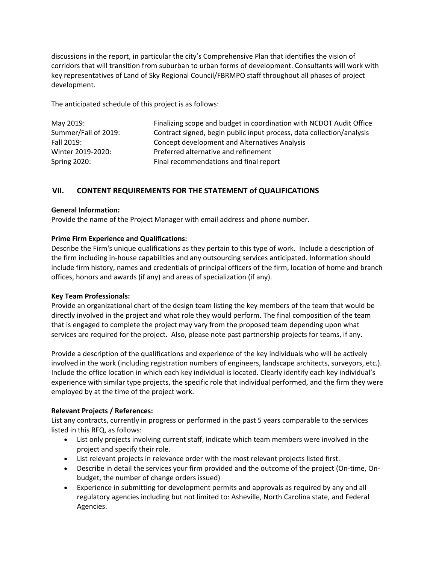discussions in the report, in particular the city's Comprehensive Plan that identifies the vision of corridors that will transition from suburban to urban forms of development. Consultants will work with key representatives of Land of Sky Regional Council/FBRMPO staff throughout all phases of project development.

The anticipated schedule of this project is as follows:

| May 2019:            | Finalizing scope and budget in coordination with NCDOT Audit Office   |
|----------------------|-----------------------------------------------------------------------|
| Summer/Fall of 2019: | Contract signed, begin public input process, data collection/analysis |
| Fall 2019:           | Concept development and Alternatives Analysis                         |
| Winter 2019-2020:    | Preferred alternative and refinement                                  |
| <b>Spring 2020:</b>  | Final recommendations and final report                                |

# **VII. CONTENT REQUIREMENTS FOR THE STATEMENT of QUALIFICATIONS**

#### **General Information:**

Provide the name of the Project Manager with email address and phone number.

## **Prime Firm Experience and Qualifications:**

Describe the Firm's unique qualifications as they pertain to this type of work. Include a description of the firm including in‐house capabilities and any outsourcing services anticipated. Information should include firm history, names and credentials of principal officers of the firm, location of home and branch offices, honors and awards (if any) and areas of specialization (if any).

#### **Key Team Professionals:**

Provide an organizational chart of the design team listing the key members of the team that would be directly involved in the project and what role they would perform. The final composition of the team that is engaged to complete the project may vary from the proposed team depending upon what services are required for the project. Also, please note past partnership projects for teams, if any.

Provide a description of the qualifications and experience of the key individuals who will be actively involved in the work (including registration numbers of engineers, landscape architects, surveyors, etc.). Include the office location in which each key individual is located. Clearly identify each key individual's experience with similar type projects, the specific role that individual performed, and the firm they were employed by at the time of the project work.

## **Relevant Projects / References:**

List any contracts, currently in progress or performed in the past 5 years comparable to the services listed in this RFQ, as follows:

- List only projects involving current staff, indicate which team members were involved in the project and specify their role.
- List relevant projects in relevance order with the most relevant projects listed first.
- Describe in detail the services your firm provided and the outcome of the project (On-time, Onbudget, the number of change orders issued)
- Experience in submitting for development permits and approvals as required by any and all regulatory agencies including but not limited to: Asheville, North Carolina state, and Federal Agencies.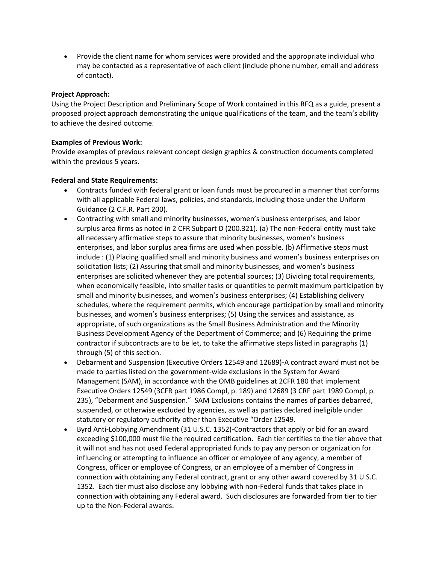Provide the client name for whom services were provided and the appropriate individual who may be contacted as a representative of each client (include phone number, email and address of contact).

## **Project Approach:**

Using the Project Description and Preliminary Scope of Work contained in this RFQ as a guide, present a proposed project approach demonstrating the unique qualifications of the team, and the team's ability to achieve the desired outcome.

#### **Examples of Previous Work:**

Provide examples of previous relevant concept design graphics & construction documents completed within the previous 5 years.

## **Federal and State Requirements:**

- Contracts funded with federal grant or loan funds must be procured in a manner that conforms with all applicable Federal laws, policies, and standards, including those under the Uniform Guidance (2 C.F.R. Part 200).
- Contracting with small and minority businesses, women's business enterprises, and labor surplus area firms as noted in 2 CFR Subpart D (200.321). (a) The non-Federal entity must take all necessary affirmative steps to assure that minority businesses, women's business enterprises, and labor surplus area firms are used when possible. (b) Affirmative steps must include : (1) Placing qualified small and minority business and women's business enterprises on solicitation lists; (2) Assuring that small and minority businesses, and women's business enterprises are solicited whenever they are potential sources; (3) Dividing total requirements, when economically feasible, into smaller tasks or quantities to permit maximum participation by small and minority businesses, and women's business enterprises; (4) Establishing delivery schedules, where the requirement permits, which encourage participation by small and minority businesses, and women's business enterprises; (5) Using the services and assistance, as appropriate, of such organizations as the Small Business Administration and the Minority Business Development Agency of the Department of Commerce; and (6) Requiring the prime contractor if subcontracts are to be let, to take the affirmative steps listed in paragraphs (1) through (5) of this section.
- Debarment and Suspension (Executive Orders 12549 and 12689)-A contract award must not be made to parties listed on the government-wide exclusions in the System for Award Management (SAM), in accordance with the OMB guidelines at 2CFR 180 that implement Executive Orders 12549 (3CFR part 1986 Compl, p. 189) and 12689 (3 CRF part 1989 Compl, p. 235), "Debarment and Suspension." SAM Exclusions contains the names of parties debarred, suspended, or otherwise excluded by agencies, as well as parties declared ineligible under statutory or regulatory authority other than Executive "Order 12549.
- Byrd Anti-Lobbying Amendment (31 U.S.C. 1352)-Contractors that apply or bid for an award exceeding \$100,000 must file the required certification. Each tier certifies to the tier above that it will not and has not used Federal appropriated funds to pay any person or organization for influencing or attempting to influence an officer or employee of any agency, a member of Congress, officer or employee of Congress, or an employee of a member of Congress in connection with obtaining any Federal contract, grant or any other award covered by 31 U.S.C. 1352. Each tier must also disclose any lobbying with non-Federal funds that takes place in connection with obtaining any Federal award. Such disclosures are forwarded from tier to tier up to the Non-Federal awards.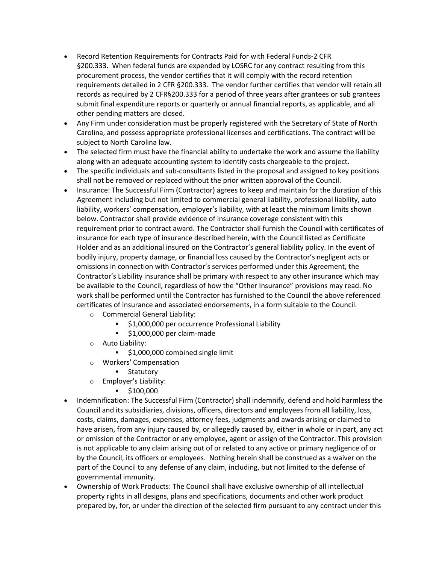- Record Retention Requirements for Contracts Paid for with Federal Funds-2 CFR §200.333. When federal funds are expended by LOSRC for any contract resulting from this procurement process, the vendor certifies that it will comply with the record retention requirements detailed in 2 CFR §200.333. The vendor further certifies that vendor will retain all records as required by 2 CFR§200.333 for a period of three years after grantees or sub grantees submit final expenditure reports or quarterly or annual financial reports, as applicable, and all other pending matters are closed.
- Any Firm under consideration must be properly registered with the Secretary of State of North Carolina, and possess appropriate professional licenses and certifications. The contract will be subject to North Carolina law.
- The selected firm must have the financial ability to undertake the work and assume the liability along with an adequate accounting system to identify costs chargeable to the project.
- The specific individuals and sub-consultants listed in the proposal and assigned to key positions shall not be removed or replaced without the prior written approval of the Council.
- Insurance: The Successful Firm (Contractor) agrees to keep and maintain for the duration of this Agreement including but not limited to commercial general liability, professional liability, auto liability, workers' compensation, employer's liability, with at least the minimum limits shown below. Contractor shall provide evidence of insurance coverage consistent with this requirement prior to contract award. The Contractor shall furnish the Council with certificates of insurance for each type of insurance described herein, with the Council listed as Certificate Holder and as an additional insured on the Contractor's general liability policy. In the event of bodily injury, property damage, or financial loss caused by the Contractor's negligent acts or omissions in connection with Contractor's services performed under this Agreement, the Contractor's Liability insurance shall be primary with respect to any other insurance which may be available to the Council, regardless of how the "Other Insurance" provisions may read. No work shall be performed until the Contractor has furnished to the Council the above referenced certificates of insurance and associated endorsements, in a form suitable to the Council.
	- o Commercial General Liability:
		- $\approx$  \$1,000,000 per occurrence Professional Liability
		- \$1,000,000 per claim-made
	- o Auto Liability:
		- \$1,000,000 combined single limit
	- o Workers' Compensation
		- **Statutory**
	- o Employer's Liability:
		- $\bullet$  \$100,000
- Indemnification: The Successful Firm (Contractor) shall indemnify, defend and hold harmless the Council and its subsidiaries, divisions, officers, directors and employees from all liability, loss, costs, claims, damages, expenses, attorney fees, judgments and awards arising or claimed to have arisen, from any injury caused by, or allegedly caused by, either in whole or in part, any act or omission of the Contractor or any employee, agent or assign of the Contractor. This provision is not applicable to any claim arising out of or related to any active or primary negligence of or by the Council, its officers or employees. Nothing herein shall be construed as a waiver on the part of the Council to any defense of any claim, including, but not limited to the defense of governmental immunity.
- Ownership of Work Products: The Council shall have exclusive ownership of all intellectual property rights in all designs, plans and specifications, documents and other work product prepared by, for, or under the direction of the selected firm pursuant to any contract under this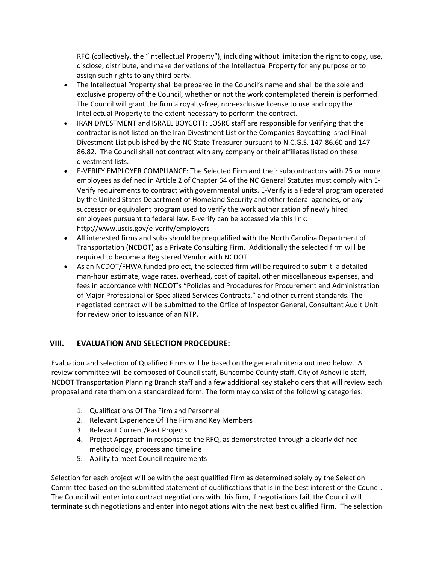RFQ (collectively, the "Intellectual Property"), including without limitation the right to copy, use, disclose, distribute, and make derivations of the Intellectual Property for any purpose or to assign such rights to any third party.

- The Intellectual Property shall be prepared in the Council's name and shall be the sole and exclusive property of the Council, whether or not the work contemplated therein is performed. The Council will grant the firm a royalty‐free, non‐exclusive license to use and copy the Intellectual Property to the extent necessary to perform the contract.
- IRAN DIVESTMENT and ISRAEL BOYCOTT: LOSRC staff are responsible for verifying that the contractor is not listed on the Iran Divestment List or the Companies Boycotting Israel Final Divestment List published by the NC State Treasurer pursuant to N.C.G.S. 147-86.60 and 147- 86.82. The Council shall not contract with any company or their affiliates listed on these divestment lists.
- E‐VERIFY EMPLOYER COMPLIANCE: The Selected Firm and their subcontractors with 25 or more employees as defined in Article 2 of Chapter 64 of the NC General Statutes must comply with E‐ Verify requirements to contract with governmental units. E‐Verify is a Federal program operated by the United States Department of Homeland Security and other federal agencies, or any successor or equivalent program used to verify the work authorization of newly hired employees pursuant to federal law. E‐verify can be accessed via this link: <http://www.uscis.gov/e>‐verify/employers
- All interested firms and subs should be prequalified with the North Carolina Department of Transportation (NCDOT) as a Private Consulting Firm. Additionally the selected firm will be required to become a Registered Vendor with NCDOT.
- As an NCDOT/FHWA funded project, the selected firm will be required to submit a detailed man-hour estimate, wage rates, overhead, cost of capital, other miscellaneous expenses, and fees in accordance with NCDOT's "Policies and Procedures for Procurement and Administration of Major Professional or Specialized Services Contracts," and other current standards. The negotiated contract will be submitted to the Office of Inspector General, Consultant Audit Unit for review prior to issuance of an NTP.

# **VIII. EVALUATION AND SELECTION PROCEDURE:**

Evaluation and selection of Qualified Firms will be based on the general criteria outlined below. A review committee will be composed of Council staff, Buncombe County staff, City of Asheville staff, NCDOT Transportation Planning Branch staff and a few additional key stakeholders that will review each proposal and rate them on a standardized form. The form may consist of the following categories:

- 1. Qualifications Of The Firm and Personnel
- 2. Relevant Experience Of The Firm and Key Members
- 3. Relevant Current/Past Projects
- 4. Project Approach in response to the RFQ, as demonstrated through a clearly defined methodology, process and timeline
- 5. Ability to meet Council requirements

Selection for each project will be with the best qualified Firm as determined solely by the Selection Committee based on the submitted statement of qualifications that is in the best interest of the Council. The Council will enter into contract negotiations with this firm, if negotiations fail, the Council will terminate such negotiations and enter into negotiations with the next best qualified Firm. The selection